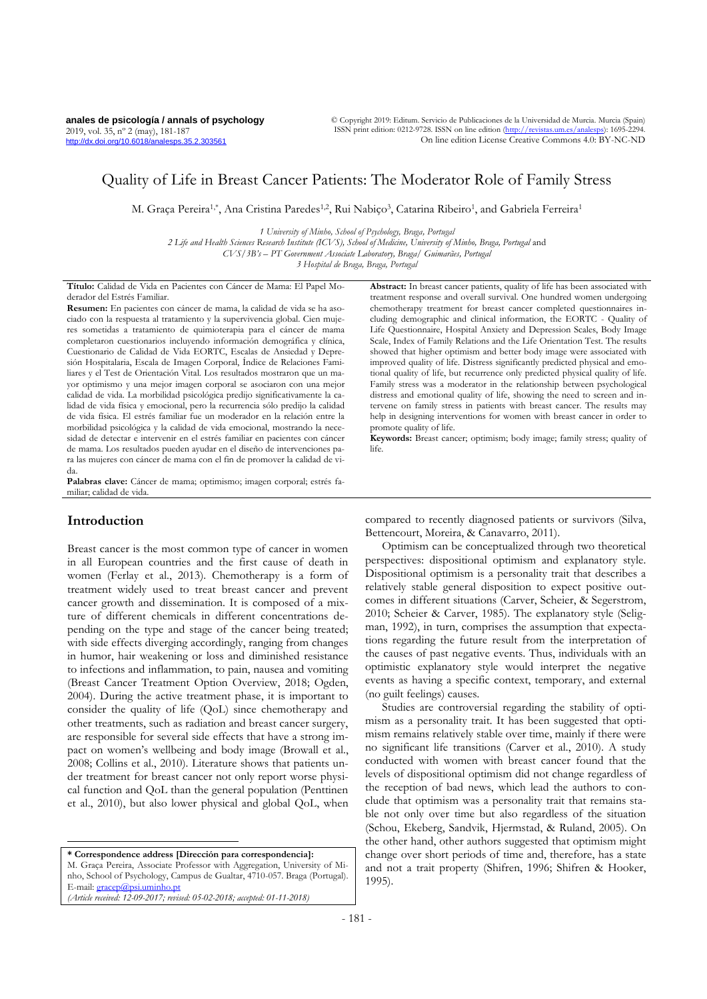**anales de psicología / annals of psychology** 2019, vol. 35, nº 2 (may), 181-187 <http://dx.doi.org/10.6018/analesps.35.2.303561>

© Copyright 2019: Editum. Servicio de Publicaciones de la Universidad de Murcia. Murcia (Spain) ISSN print edition: 0212-9728. ISSN on line edition (http://revistas.um.es/anale On line edition License Creative Commons 4.0: BY-NC-ND

# Quality of Life in Breast Cancer Patients: The Moderator Role of Family Stress

M. Graça Pereira<sup>1,\*</sup>, Ana Cristina Paredes<sup>1,2</sup>, Rui Nabiço<sup>3</sup>, Catarina Ribeiro<sup>1</sup>, and Gabriela Ferreira<sup>1</sup>

*1 University of Minho, School of Psychology, Braga, Portugal 2 Life and Health Sciences Research Institute (ICVS), School of Medicine, University of Minho, Braga, Portugal* and *CVS/3B's – PT Government Associate Laboratory, Braga/ Guimarães, Portugal*

*3 Hospital de Braga, Braga, Portugal*

**Título:** Calidad de Vida en Pacientes con Cáncer de Mama: El Papel Moderador del Estrés Familiar.

**Resumen:** En pacientes con cáncer de mama, la calidad de vida se ha asociado con la respuesta al tratamiento y la supervivencia global. Cien mujeres sometidas a tratamiento de quimioterapia para el cáncer de mama completaron cuestionarios incluyendo información demográfica y clínica, Cuestionario de Calidad de Vida EORTC, Escalas de Ansiedad y Depresión Hospitalaria, Escala de Imagen Corporal, Índice de Relaciones Familiares y el Test de Orientación Vital. Los resultados mostraron que un mayor optimismo y una mejor imagen corporal se asociaron con una mejor calidad de vida. La morbilidad psicológica predijo significativamente la calidad de vida física y emocional, pero la recurrencia sólo predijo la calidad de vida física. El estrés familiar fue un moderador en la relación entre la morbilidad psicológica y la calidad de vida emocional, mostrando la necesidad de detectar e intervenir en el estrés familiar en pacientes con cáncer de mama. Los resultados pueden ayudar en el diseño de intervenciones para las mujeres con cáncer de mama con el fin de promover la calidad de vida.

**Palabras clave:** Cáncer de mama; optimismo; imagen corporal; estrés familiar; calidad de vida.

## **Introduction**

 $\overline{a}$ 

Breast cancer is the most common type of cancer in women in all European countries and the first cause of death in women (Ferlay et al., 2013). Chemotherapy is a form of treatment widely used to treat breast cancer and prevent cancer growth and dissemination. It is composed of a mixture of different chemicals in different concentrations depending on the type and stage of the cancer being treated; with side effects diverging accordingly, ranging from changes in humor, hair weakening or loss and diminished resistance to infections and inflammation, to pain, nausea and vomiting (Breast Cancer Treatment Option Overview, 2018; Ogden, 2004). During the active treatment phase, it is important to consider the quality of life (QoL) since chemotherapy and other treatments, such as radiation and breast cancer surgery, are responsible for several side effects that have a strong impact on women's wellbeing and body image (Browall et al., 2008; Collins et al., 2010). Literature shows that patients under treatment for breast cancer not only report worse physical function and QoL than the general population (Penttinen et al., 2010), but also lower physical and global QoL, when

**\* Correspondence address [Dirección para correspondencia]:** M. Graça Pereira, Associate Professor with Aggregation, University of Minho, School of Psychology, Campus de Gualtar, 4710-057. Braga (Portugal). E-mail: [gracep@psi.uminho.pt](mailto:gracep@psi.uminho.pt) *(Article received: 12-09-2017; revised: 05-02-2018; accepted: 01-11-2018)*

**Abstract:** In breast cancer patients, quality of life has been associated with treatment response and overall survival. One hundred women undergoing chemotherapy treatment for breast cancer completed questionnaires including demographic and clinical information, the EORTC - Quality of Life Questionnaire, Hospital Anxiety and Depression Scales, Body Image Scale, Index of Family Relations and the Life Orientation Test. The results showed that higher optimism and better body image were associated with improved quality of life. Distress significantly predicted physical and emotional quality of life, but recurrence only predicted physical quality of life. Family stress was a moderator in the relationship between psychological distress and emotional quality of life, showing the need to screen and intervene on family stress in patients with breast cancer. The results may help in designing interventions for women with breast cancer in order to promote quality of life.

**Keywords:** Breast cancer; optimism; body image; family stress; quality of life.

compared to recently diagnosed patients or survivors (Silva, Bettencourt, Moreira, & Canavarro, 2011).

Optimism can be conceptualized through two theoretical perspectives: dispositional optimism and explanatory style. Dispositional optimism is a personality trait that describes a relatively stable general disposition to expect positive outcomes in different situations (Carver, Scheier, & Segerstrom, 2010; Scheier & Carver, 1985). The explanatory style (Seligman, 1992), in turn, comprises the assumption that expectations regarding the future result from the interpretation of the causes of past negative events. Thus, individuals with an optimistic explanatory style would interpret the negative events as having a specific context, temporary, and external (no guilt feelings) causes.

Studies are controversial regarding the stability of optimism as a personality trait. It has been suggested that optimism remains relatively stable over time, mainly if there were no significant life transitions (Carver et al., 2010). A study conducted with women with breast cancer found that the levels of dispositional optimism did not change regardless of the reception of bad news, which lead the authors to conclude that optimism was a personality trait that remains stable not only over time but also regardless of the situation (Schou, Ekeberg, Sandvik, Hjermstad, & Ruland, 2005). On the other hand, other authors suggested that optimism might change over short periods of time and, therefore, has a state and not a trait property (Shifren, 1996; Shifren & Hooker, 1995).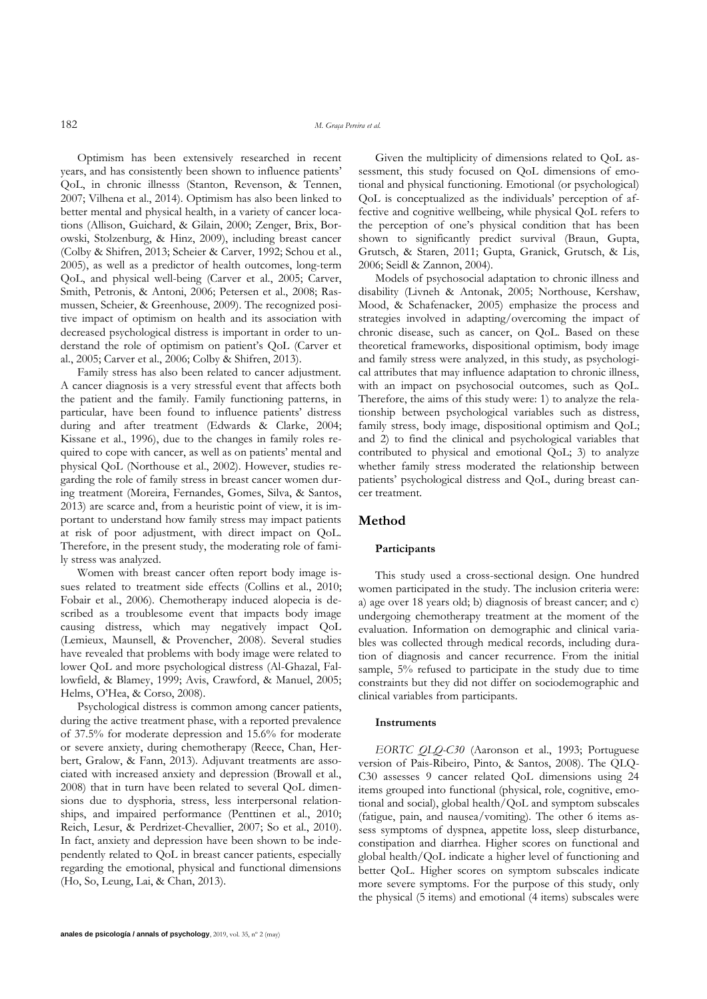Optimism has been extensively researched in recent years, and has consistently been shown to influence patients' QoL, in chronic illnesss (Stanton, Revenson, & Tennen, 2007; Vilhena et al., 2014). Optimism has also been linked to better mental and physical health, in a variety of cancer locations (Allison, Guichard, & Gilain, 2000; Zenger, Brix, Borowski, Stolzenburg, & Hinz, 2009), including breast cancer (Colby & Shifren, 2013; Scheier & Carver, 1992; Schou et al., 2005), as well as a predictor of health outcomes, long-term QoL, and physical well-being (Carver et al., 2005; Carver, Smith, Petronis, & Antoni, 2006; Petersen et al., 2008; Rasmussen, Scheier, & Greenhouse, 2009). The recognized positive impact of optimism on health and its association with decreased psychological distress is important in order to understand the role of optimism on patient's QoL (Carver et al., 2005; Carver et al., 2006; Colby & Shifren, 2013).

Family stress has also been related to cancer adjustment. A cancer diagnosis is a very stressful event that affects both the patient and the family. Family functioning patterns, in particular, have been found to influence patients' distress during and after treatment (Edwards & Clarke, 2004; Kissane et al., 1996), due to the changes in family roles required to cope with cancer, as well as on patients' mental and physical QoL (Northouse et al., 2002). However, studies regarding the role of family stress in breast cancer women during treatment (Moreira, Fernandes, Gomes, Silva, & Santos, 2013) are scarce and, from a heuristic point of view, it is important to understand how family stress may impact patients at risk of poor adjustment, with direct impact on QoL. Therefore, in the present study, the moderating role of family stress was analyzed.

Women with breast cancer often report body image issues related to treatment side effects (Collins et al., 2010; Fobair et al., 2006). Chemotherapy induced alopecia is described as a troublesome event that impacts body image causing distress, which may negatively impact QoL (Lemieux, Maunsell, & Provencher, 2008). Several studies have revealed that problems with body image were related to lower QoL and more psychological distress (Al-Ghazal, Fallowfield, & Blamey, 1999; Avis, Crawford, & Manuel, 2005; Helms, O'Hea, & Corso, 2008).

Psychological distress is common among cancer patients, during the active treatment phase, with a reported prevalence of 37.5% for moderate depression and 15.6% for moderate or severe anxiety, during chemotherapy (Reece, Chan, Herbert, Gralow, & Fann, 2013). Adjuvant treatments are associated with increased anxiety and depression (Browall et al., 2008) that in turn have been related to several QoL dimensions due to dysphoria, stress, less interpersonal relationships, and impaired performance (Penttinen et al., 2010; Reich, Lesur, & Perdrizet-Chevallier, 2007; So et al., 2010). In fact, anxiety and depression have been shown to be independently related to QoL in breast cancer patients, especially regarding the emotional, physical and functional dimensions (Ho, So, Leung, Lai, & Chan, 2013).

Given the multiplicity of dimensions related to QoL assessment, this study focused on QoL dimensions of emotional and physical functioning. Emotional (or psychological) QoL is conceptualized as the individuals' perception of affective and cognitive wellbeing, while physical QoL refers to the perception of one's physical condition that has been shown to significantly predict survival (Braun, Gupta, Grutsch, & Staren, 2011; Gupta, Granick, Grutsch, & Lis, 2006; Seidl & Zannon, 2004).

Models of psychosocial adaptation to chronic illness and disability (Livneh & Antonak, 2005; Northouse, Kershaw, Mood, & Schafenacker, 2005) emphasize the process and strategies involved in adapting/overcoming the impact of chronic disease, such as cancer, on QoL. Based on these theoretical frameworks, dispositional optimism, body image and family stress were analyzed, in this study, as psychological attributes that may influence adaptation to chronic illness, with an impact on psychosocial outcomes, such as QoL. Therefore, the aims of this study were: 1) to analyze the relationship between psychological variables such as distress, family stress, body image, dispositional optimism and QoL; and 2) to find the clinical and psychological variables that contributed to physical and emotional QoL; 3) to analyze whether family stress moderated the relationship between patients' psychological distress and QoL, during breast cancer treatment.

## **Method**

#### **Participants**

This study used a cross-sectional design. One hundred women participated in the study. The inclusion criteria were: a) age over 18 years old; b) diagnosis of breast cancer; and c) undergoing chemotherapy treatment at the moment of the evaluation. Information on demographic and clinical variables was collected through medical records, including duration of diagnosis and cancer recurrence. From the initial sample,  $5\%$  refused to participate in the study due to time constraints but they did not differ on sociodemographic and clinical variables from participants.

#### **Instruments**

*EORTC QLQ-C30* (Aaronson et al., 1993; Portuguese version of Pais-Ribeiro, Pinto, & Santos, 2008). The QLQ-C30 assesses 9 cancer related QoL dimensions using 24 items grouped into functional (physical, role, cognitive, emotional and social), global health/QoL and symptom subscales (fatigue, pain, and nausea/vomiting). The other 6 items assess symptoms of dyspnea, appetite loss, sleep disturbance, constipation and diarrhea. Higher scores on functional and global health/QoL indicate a higher level of functioning and better QoL. Higher scores on symptom subscales indicate more severe symptoms. For the purpose of this study, only the physical (5 items) and emotional (4 items) subscales were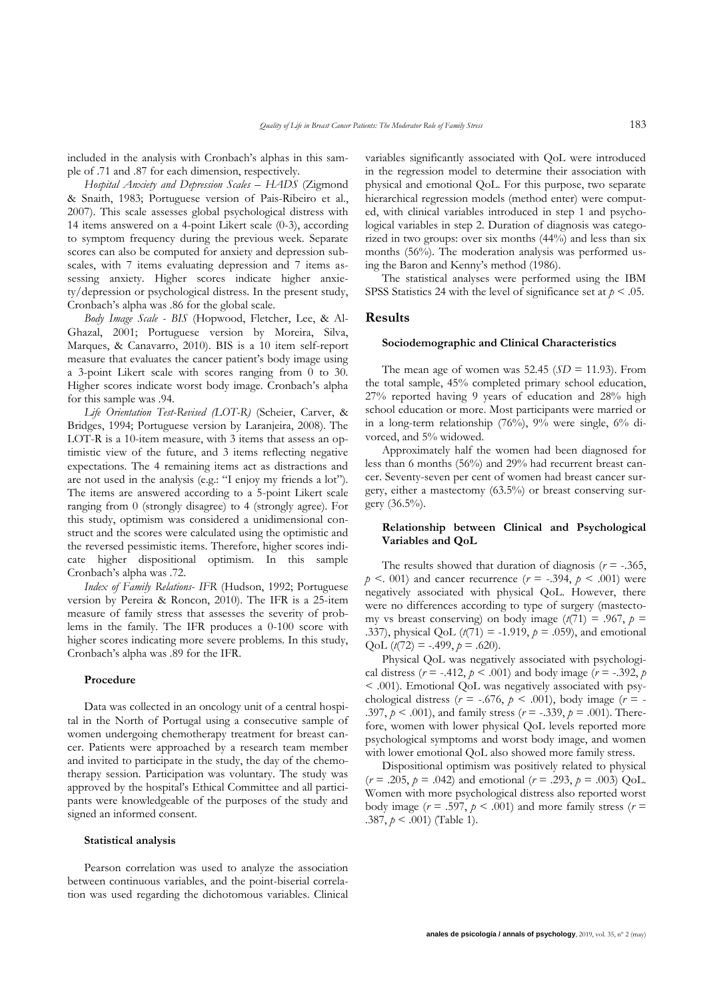included in the analysis with Cronbach's alphas in this sample of .71 and .87 for each dimension, respectively.

*Hospital Anxiety and Depression Scales – HADS* (Zigmond & Snaith, 1983; Portuguese version of Pais-Ribeiro et al., 2007). This scale assesses global psychological distress with 14 items answered on a 4-point Likert scale (0-3), according to symptom frequency during the previous week. Separate scores can also be computed for anxiety and depression subscales, with 7 items evaluating depression and 7 items assessing anxiety. Higher scores indicate higher anxiety/depression or psychological distress. In the present study, Cronbach's alpha was .86 for the global scale.

*Body Image Scale - BIS* (Hopwood, Fletcher, Lee, & Al-Ghazal, 2001; Portuguese version by Moreira, Silva, Marques, & Canavarro, 2010). BIS is a 10 item self-report measure that evaluates the cancer patient's body image using a 3-point Likert scale with scores ranging from 0 to 30. Higher scores indicate worst body image. Cronbach's alpha for this sample was .94.

*Life Orientation Test-Revised (LOT-R)* (Scheier, Carver, & Bridges, 1994; Portuguese version by Laranjeira, 2008). The LOT-R is a 10-item measure, with 3 items that assess an optimistic view of the future, and 3 items reflecting negative expectations. The 4 remaining items act as distractions and are not used in the analysis (e.g.: "I enjoy my friends a lot"). The items are answered according to a 5-point Likert scale ranging from 0 (strongly disagree) to 4 (strongly agree). For this study, optimism was considered a unidimensional construct and the scores were calculated using the optimistic and the reversed pessimistic items. Therefore, higher scores indicate higher dispositional optimism. In this sample Cronbach's alpha was .72.

*Index of Family Relations- IFR* (Hudson, 1992; Portuguese version by Pereira & Roncon, 2010). The IFR is a 25-item measure of family stress that assesses the severity of problems in the family. The IFR produces a 0-100 score with higher scores indicating more severe problems. In this study, Cronbach's alpha was .89 for the IFR.

## **Procedure**

Data was collected in an oncology unit of a central hospital in the North of Portugal using a consecutive sample of women undergoing chemotherapy treatment for breast cancer. Patients were approached by a research team member and invited to participate in the study, the day of the chemotherapy session. Participation was voluntary. The study was approved by the hospital's Ethical Committee and all participants were knowledgeable of the purposes of the study and signed an informed consent.

#### **Statistical analysis**

Pearson correlation was used to analyze the association between continuous variables, and the point-biserial correlation was used regarding the dichotomous variables. Clinical variables significantly associated with QoL were introduced in the regression model to determine their association with physical and emotional QoL. For this purpose, two separate hierarchical regression models (method enter) were computed, with clinical variables introduced in step 1 and psychological variables in step 2. Duration of diagnosis was categorized in two groups: over six months (44%) and less than six months (56%). The moderation analysis was performed using the Baron and Kenny's method (1986).

The statistical analyses were performed using the IBM SPSS Statistics 24 with the level of significance set at  $p < .05$ .

#### **Results**

#### **Sociodemographic and Clinical Characteristics**

The mean age of women was  $52.45$  ( $SD = 11.93$ ). From the total sample, 45% completed primary school education, 27% reported having 9 years of education and 28% high school education or more. Most participants were married or in a long-term relationship (76%), 9% were single, 6% divorced, and 5% widowed.

Approximately half the women had been diagnosed for less than 6 months (56%) and 29% had recurrent breast cancer. Seventy-seven per cent of women had breast cancer surgery, either a mastectomy (63.5%) or breast conserving surgery (36.5%).

## **Relationship between Clinical and Psychological Variables and QoL**

The results showed that duration of diagnosis  $(r = -.365, )$  $p \leq 0.001$  and cancer recurrence ( $r = -0.394$ ,  $p \leq 0.001$ ) were negatively associated with physical QoL. However, there were no differences according to type of surgery (mastectomy vs breast conserving) on body image  $(t(71) = .967, p =$ .337), physical QoL (*t*(71) = -1.919, *p* = .059), and emotional QoL  $(t(72) = -.499, p = .620)$ .

Physical QoL was negatively associated with psychological distress ( $r = -.412$ ,  $p < .001$ ) and body image ( $r = -.392$ ,  $p$ < .001). Emotional QoL was negatively associated with psychological distress ( $r = -.676$ ,  $p < .001$ ), body image ( $r = -$ .397, *p* < .001), and family stress (*r* = -.339, *p* = .001). Therefore, women with lower physical QoL levels reported more psychological symptoms and worst body image, and women with lower emotional QoL also showed more family stress.

Dispositional optimism was positively related to physical  $(r = .205, p = .042)$  and emotional  $(r = .293, p = .003)$  QoL. Women with more psychological distress also reported worst body image ( $r = .597$ ,  $p < .001$ ) and more family stress ( $r =$ .387, *p* < .001) (Table 1).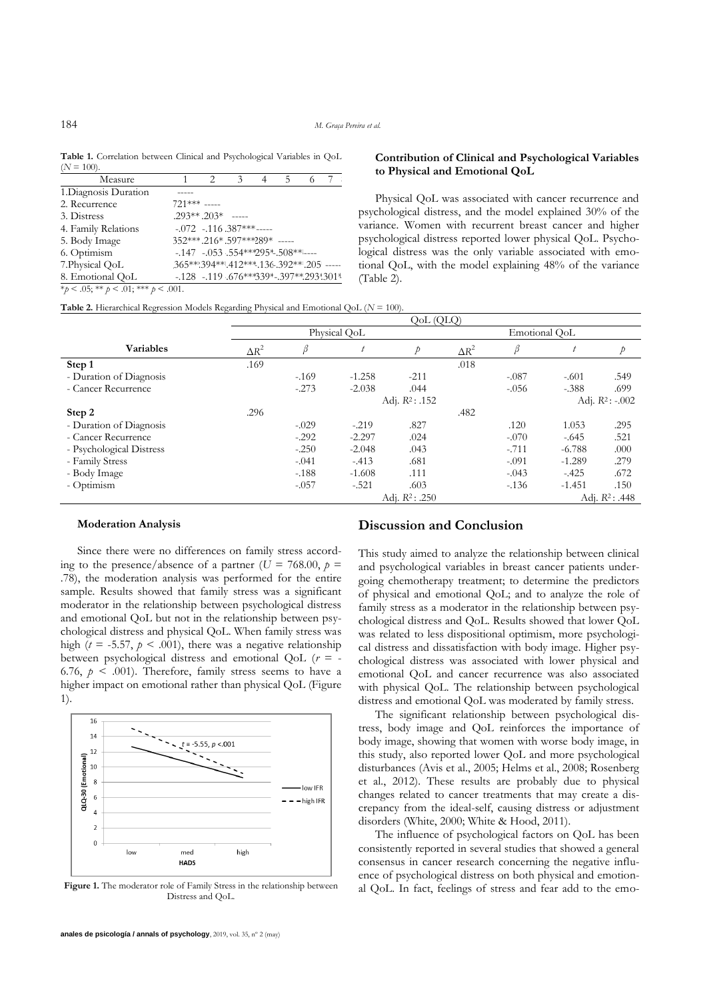**Table 1.** Correlation between Clinical and Psychological Variables in QoL  $(N = 100)$ 

| Measure                             |                                  | 2 | $\mathcal{Z}$                             | 4 | 5 |  |
|-------------------------------------|----------------------------------|---|-------------------------------------------|---|---|--|
| 1. Diagnosis Duration               |                                  |   |                                           |   |   |  |
| 2. Recurrence                       | $721***$ -----                   |   |                                           |   |   |  |
| 3. Distress                         | $.293**$ $.203*$ -----           |   |                                           |   |   |  |
| 4. Family Relations                 |                                  |   | $-.072-.116.387***$                       |   |   |  |
| 5. Body Image                       | 352***.216*.597***289* -----     |   |                                           |   |   |  |
| 6. Optimism                         |                                  |   | $-147$ $-053$ $.554***295*$ $.508***$     |   |   |  |
| 7. Physical QoL                     | 365** 394** 412*** 136 392** 205 |   |                                           |   |   |  |
| 8. Emotional QoL                    |                                  |   | $-128$ $-119$ $.676***339*-397**293:301*$ |   |   |  |
| *p < .05; ** p < .01; *** p < .001. |                                  |   |                                           |   |   |  |

### **Contribution of Clinical and Psychological Variables to Physical and Emotional QoL**

Physical QoL was associated with cancer recurrence and psychological distress, and the model explained 30% of the variance. Women with recurrent breast cancer and higher psychological distress reported lower physical QoL. Psychological distress was the only variable associated with emotional QoL, with the model explaining 48% of the variance (Table 2).

**Table 2.** Hierarchical Regression Models Regarding Physical and Emotional QoL (*N* = 100).

|                          | QoL(QLQ)                               |         |                                         |        |               |         |                  |               |  |
|--------------------------|----------------------------------------|---------|-----------------------------------------|--------|---------------|---------|------------------|---------------|--|
|                          | Physical QoL                           |         |                                         |        | Emotional OoL |         |                  |               |  |
| <b>Variables</b>         | $\Delta R^2$                           | β       |                                         | Þ      | $\Delta R^2$  | β       | $\boldsymbol{t}$ | $\mathcal{P}$ |  |
| Step 1                   | .169                                   |         |                                         |        | .018          |         |                  |               |  |
| - Duration of Diagnosis  |                                        | $-169$  | $-1.258$                                | $-211$ |               | $-.087$ | $-.601$          | .549          |  |
| - Cancer Recurrence      |                                        | $-.273$ | $-2.038$                                | .044   |               | $-.056$ | $-.388$          | .699          |  |
|                          |                                        |         | Adj. $R^2$ : .152<br>Adj. $R^2$ : -.002 |        |               |         |                  |               |  |
| Step 2                   | .296                                   |         |                                         |        | .482          |         |                  |               |  |
| - Duration of Diagnosis  |                                        | $-.029$ | $-.219$                                 | .827   |               | .120    | 1.053            | .295          |  |
| - Cancer Recurrence      |                                        | $-.292$ | $-2.297$                                | .024   |               | $-.070$ | $-.645$          | .521          |  |
| - Psychological Distress |                                        | $-.250$ | $-2.048$                                | .043   |               | $-.711$ | $-6.788$         | .000          |  |
| - Family Stress          |                                        | $-.041$ | $-.413$                                 | .681   |               | $-.091$ | $-1.289$         | .279          |  |
| - Body Image             |                                        | $-188$  | $-1.608$                                | .111   |               | $-.043$ | $-.425$          | .672          |  |
| - Optimism               |                                        | $-.057$ | $-.521$                                 | .603   |               | $-136$  | $-1.451$         | .150          |  |
|                          | Adj. $R^2$ : .250<br>Adj. $R^2$ : .448 |         |                                         |        |               |         |                  |               |  |

#### **Moderation Analysis**

Since there were no differences on family stress according to the presence/absence of a partner ( $U = 768.00$ ,  $p =$ .78), the moderation analysis was performed for the entire sample. Results showed that family stress was a significant moderator in the relationship between psychological distress and emotional QoL but not in the relationship between psychological distress and physical QoL. When family stress was high ( $t = -5.57$ ,  $p < .001$ ), there was a negative relationship between psychological distress and emotional QoL (*r* = - 6.76,  $p \leq 0.001$ ). Therefore, family stress seems to have a higher impact on emotional rather than physical QoL (Figure 1).



Figure 1. The moderator role of Family Stress in the relationship between Distress and QoL.

## **Discussion and Conclusion**

This study aimed to analyze the relationship between clinical and psychological variables in breast cancer patients undergoing chemotherapy treatment; to determine the predictors of physical and emotional QoL; and to analyze the role of family stress as a moderator in the relationship between psychological distress and QoL. Results showed that lower QoL was related to less dispositional optimism, more psychological distress and dissatisfaction with body image. Higher psychological distress was associated with lower physical and emotional QoL and cancer recurrence was also associated with physical QoL. The relationship between psychological distress and emotional QoL was moderated by family stress.

The significant relationship between psychological distress, body image and QoL reinforces the importance of body image, showing that women with worse body image, in this study, also reported lower QoL and more psychological disturbances (Avis et al., 2005; Helms et al., 2008; Rosenberg et al., 2012). These results are probably due to physical changes related to cancer treatments that may create a discrepancy from the ideal-self, causing distress or adjustment disorders (White, 2000; White & Hood, 2011).

The influence of psychological factors on QoL has been consistently reported in several studies that showed a general consensus in cancer research concerning the negative influence of psychological distress on both physical and emotional QoL. In fact, feelings of stress and fear add to the emo-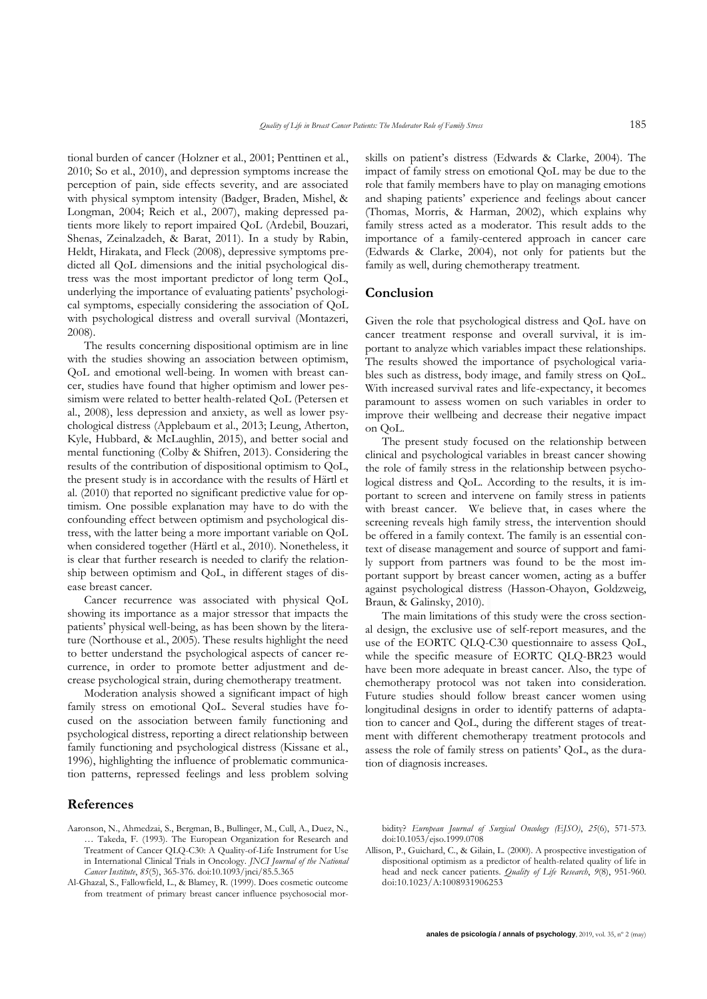tional burden of cancer (Holzner et al., 2001; Penttinen et al*.*, 2010; So et al., 2010), and depression symptoms increase the perception of pain, side effects severity, and are associated with physical symptom intensity (Badger, Braden, Mishel, & Longman, 2004; Reich et al., 2007), making depressed patients more likely to report impaired QoL (Ardebil, Bouzari, Shenas, Zeinalzadeh, & Barat, 2011). In a study by Rabin, Heldt, Hirakata, and Fleck (2008), depressive symptoms predicted all QoL dimensions and the initial psychological distress was the most important predictor of long term QoL, underlying the importance of evaluating patients' psychological symptoms, especially considering the association of QoL with psychological distress and overall survival (Montazeri, 2008).

The results concerning dispositional optimism are in line with the studies showing an association between optimism, QoL and emotional well-being. In women with breast cancer, studies have found that higher optimism and lower pessimism were related to better health-related QoL (Petersen et al., 2008), less depression and anxiety, as well as lower psychological distress (Applebaum et al., 2013; Leung, Atherton, Kyle, Hubbard, & McLaughlin, 2015), and better social and mental functioning (Colby & Shifren, 2013). Considering the results of the contribution of dispositional optimism to QoL, the present study is in accordance with the results of Härtl et al. (2010) that reported no significant predictive value for optimism. One possible explanation may have to do with the confounding effect between optimism and psychological distress, with the latter being a more important variable on QoL when considered together (Härtl et al., 2010). Nonetheless, it is clear that further research is needed to clarify the relationship between optimism and QoL, in different stages of disease breast cancer.

Cancer recurrence was associated with physical QoL showing its importance as a major stressor that impacts the patients' physical well-being, as has been shown by the literature (Northouse et al., 2005). These results highlight the need to better understand the psychological aspects of cancer recurrence, in order to promote better adjustment and decrease psychological strain, during chemotherapy treatment.

Moderation analysis showed a significant impact of high family stress on emotional QoL. Several studies have focused on the association between family functioning and psychological distress, reporting a direct relationship between family functioning and psychological distress (Kissane et al., 1996), highlighting the influence of problematic communication patterns, repressed feelings and less problem solving

## skills on patient's distress (Edwards & Clarke, 2004). The impact of family stress on emotional QoL may be due to the role that family members have to play on managing emotions and shaping patients' experience and feelings about cancer (Thomas, Morris, & Harman, 2002), which explains why family stress acted as a moderator. This result adds to the importance of a family-centered approach in cancer care (Edwards & Clarke, 2004), not only for patients but the family as well, during chemotherapy treatment.

# **Conclusion**

Given the role that psychological distress and QoL have on cancer treatment response and overall survival, it is important to analyze which variables impact these relationships. The results showed the importance of psychological variables such as distress, body image, and family stress on QoL. With increased survival rates and life-expectancy, it becomes paramount to assess women on such variables in order to improve their wellbeing and decrease their negative impact on QoL.

The present study focused on the relationship between clinical and psychological variables in breast cancer showing the role of family stress in the relationship between psychological distress and QoL. According to the results, it is important to screen and intervene on family stress in patients with breast cancer. We believe that, in cases where the screening reveals high family stress, the intervention should be offered in a family context. The family is an essential context of disease management and source of support and family support from partners was found to be the most important support by breast cancer women, acting as a buffer against psychological distress (Hasson-Ohayon, Goldzweig, Braun, & Galinsky, 2010).

The main limitations of this study were the cross sectional design, the exclusive use of self-report measures, and the use of the EORTC QLQ-C30 questionnaire to assess QoL, while the specific measure of EORTC QLQ-BR23 would have been more adequate in breast cancer. Also, the type of chemotherapy protocol was not taken into consideration. Future studies should follow breast cancer women using longitudinal designs in order to identify patterns of adaptation to cancer and QoL, during the different stages of treatment with different chemotherapy treatment protocols and assess the role of family stress on patients' QoL, as the duration of diagnosis increases.

# **References**

- Aaronson, N., Ahmedzai, S., Bergman, B., Bullinger, M., Cull, A., Duez, N., … Takeda, F. (1993). The European Organization for Research and Treatment of Cancer QLQ-C30: A Quality-of-Life Instrument for Use in International Clinical Trials in Oncology. *JNCI Journal of the National Cancer Institute*, *85*(5), 365-376. doi:10.1093/jnci/85.5.365
- Al-Ghazal, S., Fallowfield, L., & Blamey, R. (1999). Does cosmetic outcome from treatment of primary breast cancer influence psychosocial mor-

bidity? *European Journal of Surgical Oncology (EJSO)*, *25*(6), 571-573. doi:10.1053/ejso.1999.0708

Allison, P., Guichard, C., & Gilain, L. (2000). A prospective investigation of dispositional optimism as a predictor of health-related quality of life in head and neck cancer patients. *Quality of Life Research*, *9*(8), 951-960. doi:10.1023/A:1008931906253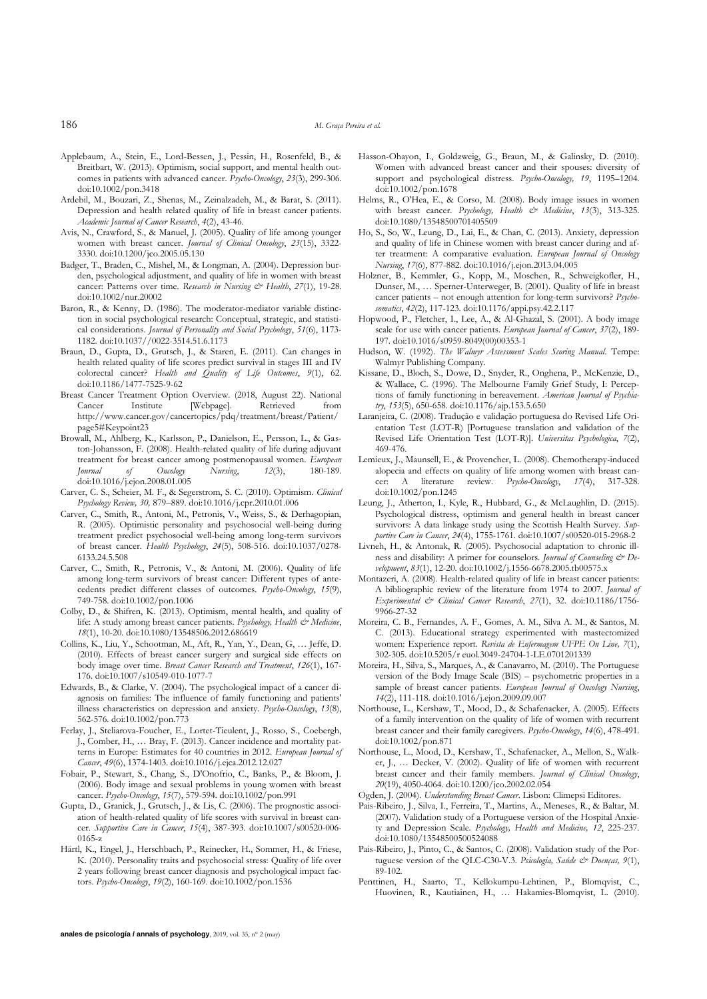186 *M. Graça Pereira et al.*

- Applebaum, A., Stein, E., Lord-Bessen, J., Pessin, H., Rosenfeld, B., & Breitbart, W. (2013). Optimism, social support, and mental health outcomes in patients with advanced cancer. *Psycho-Oncology*, *23*(3), 299-306. doi:10.1002/pon.3418
- Ardebil, M., Bouzari, Z., Shenas, M., Zeinalzadeh, M., & Barat, S. (2011). Depression and health related quality of life in breast cancer patients. *Academic Journal of Cancer Research*, *4*(2), 43-46.
- Avis, N., Crawford, S., & Manuel, J. (2005). Quality of life among younger women with breast cancer. *Journal of Clinical Oncology*, *23*(15), 3322- 3330. doi:10.1200/jco.2005.05.130
- Badger, T., Braden, C., Mishel, M., & Longman, A. (2004). Depression burden, psychological adjustment, and quality of life in women with breast cancer: Patterns over time. *Research in Nursing & Health*, 27(1), 19-28. doi:10.1002/nur.20002
- Baron, R., & Kenny, D. (1986). The moderator-mediator variable distinction in social psychological research: Conceptual, strategic, and statistical considerations. *Journal of Personality and Social Psychology*, *51*(6), 1173- 1182. doi:10.1037//0022-3514.51.6.1173
- Braun, D., Gupta, D., Grutsch, J., & Staren, E. (2011). Can changes in health related quality of life scores predict survival in stages III and IV colorectal cancer? *Health and Quality of Life Outcomes*, *9*(1), 62. doi:10.1186/1477-7525-9-62
- Breast Cancer Treatment Option Overview. (2018, August 22). National Cancer Institute [Webpage]. Retrieved from http://www.cancer.gov/cancertopics/pdq/treatment/breast/Patient/ page5#Keypoint23
- Browall, M., Ahlberg, K., Karlsson, P., Danielson, E., Persson, L., & Gaston-Johansson, F. (2008). Health-related quality of life during adjuvant treatment for breast cancer among postmenopausal women. *European Journal* of Oncology Nursing, 12(3), 180-189. *Journal of Oncology Nursing*, *12*(3), 180-189. doi:10.1016/j.ejon.2008.01.005
- Carver, C. S., Scheier, M. F., & Segerstrom, S. C. (2010). Optimism. *Clinical Psychology Review, 30,* 879–889. doi:10.1016/j.cpr.2010.01.006
- Carver, C., Smith, R., Antoni, M., Petronis, V., Weiss, S., & Derhagopian, R. (2005). Optimistic personality and psychosocial well-being during treatment predict psychosocial well-being among long-term survivors of breast cancer. *Health Psychology*, *24*(5), 508-516. doi:10.1037/0278- 6133.24.5.508
- Carver, C., Smith, R., Petronis, V., & Antoni, M. (2006). Quality of life among long-term survivors of breast cancer: Different types of antecedents predict different classes of outcomes. *Psycho-Oncology*, *15*(9), 749-758. doi:10.1002/pon.1006
- Colby, D., & Shifren, K. (2013). Optimism, mental health, and quality of life: A study among breast cancer patients. *Psychology, Health & Medicine*, *18*(1), 10-20. doi:10.1080/13548506.2012.686619
- Collins, K., Liu, Y., Schootman, M., Aft, R., Yan, Y., Dean, G, … Jeffe, D. (2010). Effects of breast cancer surgery and surgical side effects on body image over time. *Breast Cancer Research and Treatment*, *126*(1), 167- 176. doi:10.1007/s10549-010-1077-7
- Edwards, B., & Clarke, V. (2004). The psychological impact of a cancer diagnosis on families: The influence of family functioning and patients' illness characteristics on depression and anxiety. *Psycho-Oncology*, *13*(8), 562-576. doi:10.1002/pon.773
- Ferlay, J., Steliarova-Foucher, E., Lortet-Tieulent, J., Rosso, S., Coebergh, J., Comber, H., … Bray, F. (2013). Cancer incidence and mortality patterns in Europe: Estimates for 40 countries in 2012. *European Journal of Cancer*, *49*(6), 1374-1403. doi:10.1016/j.ejca.2012.12.027
- Fobair, P., Stewart, S., Chang, S., D'Onofrio, C., Banks, P., & Bloom, J. (2006). Body image and sexual problems in young women with breast cancer. *Psycho-Oncology*, *15*(7), 579-594. doi:10.1002/pon.991
- Gupta, D., Granick, J., Grutsch, J., & Lis, C. (2006). The prognostic association of health-related quality of life scores with survival in breast cancer. *Supportive Care in Cancer*, *15*(4), 387-393. doi:10.1007/s00520-006- 0165-z
- Härtl, K., Engel, J., Herschbach, P., Reinecker, H., Sommer, H., & Friese, K. (2010). Personality traits and psychosocial stress: Quality of life over 2 years following breast cancer diagnosis and psychological impact factors. *Psycho-Oncology*, *19*(2), 160-169. doi:10.1002/pon.1536
- Hasson-Ohayon, I., Goldzweig, G., Braun, M., & Galinsky, D. (2010). Women with advanced breast cancer and their spouses: diversity of support and psychological distress. *Psycho-Oncology, 19*, 1195–1204. doi:10.1002/pon.1678
- Helms, R., O'Hea, E., & Corso, M. (2008). Body image issues in women with breast cancer. *Psychology, Health & Medicine*, 13(3), 313-325. doi:10.1080/13548500701405509
- Ho, S., So, W., Leung, D., Lai, E., & Chan, C. (2013). Anxiety, depression and quality of life in Chinese women with breast cancer during and after treatment: A comparative evaluation. *European Journal of Oncology Nursing*, *17*(6), 877-882. doi:10.1016/j.ejon.2013.04.005
- Holzner, B., Kemmler, G., Kopp, M., Moschen, R., Schweigkofler, H., Dunser, M., … Sperner-Unterweger, B. (2001). Quality of life in breast cancer patients – not enough attention for long-term survivors? *Psychosomatics*, *42*(2), 117-123. doi:10.1176/appi.psy.42.2.117
- Hopwood, P., Fletcher, I., Lee, A., & Al-Ghazal, S. (2001). A body image scale for use with cancer patients. *European Journal of Cancer*, *37*(2), 189- 197. doi:10.1016/s0959-8049(00)00353-1
- Hudson, W. (1992). *The Walmyr Assessment Scales Scoring Manual*. Tempe: Walmyr Publishing Company.
- Kissane, D., Bloch, S., Dowe, D., Snyder, R., Onghena, P., McKenzie, D., & Wallace, C. (1996). The Melbourne Family Grief Study, I: Perceptions of family functioning in bereavement. *American Journal of Psychiatry*, *153*(5), 650-658. doi:10.1176/ajp.153.5.650
- Laranjeira, C. (2008). Tradução e validação portuguesa do Revised Life Orientation Test (LOT-R) [Portuguese translation and validation of the Revised Life Orientation Test (LOT-R)]. *Universitas Psychologica*, *7*(2), 469-476.
- Lemieux, J., Maunsell, E., & Provencher, L. (2008). Chemotherapy-induced alopecia and effects on quality of life among women with breast cancer: A literature review. *Psycho-Oncology*, *17*(4), 317-328. doi:10.1002/pon.1245
- Leung, J., Atherton, I., Kyle, R., Hubbard, G., & McLaughlin, D. (2015). Psychological distress, optimism and general health in breast cancer survivors: A data linkage study using the Scottish Health Survey. *Supportive Care in Cancer*, *24*(4), 1755-1761. doi:10.1007/s00520-015-2968-2
- Livneh, H., & Antonak, R. (2005). Psychosocial adaptation to chronic illness and disability: A primer for counselors. *Journal of Counseling*  $\mathcal{C}^p$  *Development*, *83*(1), 12-20. doi:10.1002/j.1556-6678.2005.tb00575.x
- Montazeri, A. (2008). Health-related quality of life in breast cancer patients: A bibliographic review of the literature from 1974 to 2007. *Journal of Experimental & Clinical Cancer Research*, *27*(1), 32. doi:10.1186/1756- 9966-27-32
- Moreira, C. B., Fernandes, A. F., Gomes, A. M., Silva A. M., & Santos, M. C. (2013). Educational strategy experimented with mastectomized women: Experience report. *Revista de Enfermagem UFPE On Line, 7*(1), 302-305. doi:10.5205/r euol.3049-24704-1-LE.0701201339
- Moreira, H., Silva, S., Marques, A., & Canavarro, M. (2010). The Portuguese version of the Body Image Scale (BIS) – psychometric properties in a sample of breast cancer patients. *European Journal of Oncology Nursing*, *14*(2), 111-118. doi:10.1016/j.ejon.2009.09.007
- Northouse, L., Kershaw, T., Mood, D., & Schafenacker, A. (2005). Effects of a family intervention on the quality of life of women with recurrent breast cancer and their family caregivers. *Psycho-Oncology*, *14*(6), 478-491. doi:10.1002/pon.871
- Northouse, L., Mood, D., Kershaw, T., Schafenacker, A., Mellon, S., Walker, J., … Decker, V. (2002). Quality of life of women with recurrent breast cancer and their family members. *Journal of Clinical Oncology*, *20*(19), 4050-4064. doi:10.1200/jco.2002.02.054
- Ogden, J. (2004). *Understanding Breast Cancer*. Lisbon: Climepsi Editores.
- Pais-Ribeiro, J., Silva, I., Ferreira, T., Martins, A., Meneses, R., & Baltar, M. (2007). Validation study of a Portuguese version of the Hospital Anxiety and Depression Scale. *Psychology, Health and Medicine, 12*, 225-237. doi:10.1080/13548500500524088
- Pais-Ribeiro, J., Pinto, C., & Santos, C. (2008). Validation study of the Portuguese version of the QLC-C30-V.3. *Psicologia, Saúde & Doenças, 9*(1), 89-102.
- Penttinen, H., Saarto, T., Kellokumpu-Lehtinen, P., Blomqvist, C., Huovinen, R., Kautiainen, H., … Hakamies-Blomqvist, L. (2010).